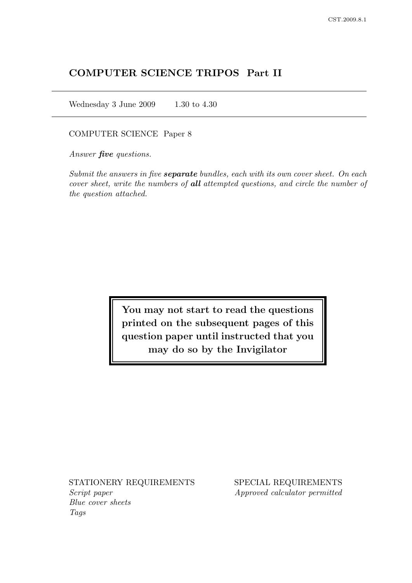# COMPUTER SCIENCE TRIPOS Part II

Wednesday 3 June 2009 1.30 to 4.30

#### COMPUTER SCIENCE Paper 8

Answer **five** questions.

Submit the answers in five **separate** bundles, each with its own cover sheet. On each cover sheet, write the numbers of all attempted questions, and circle the number of the question attached.

> You may not start to read the questions printed on the subsequent pages of this question paper until instructed that you may do so by the Invigilator

Script paper Approved calculator permitted Blue cover sheets Tags

STATIONERY REQUIREMENTS SPECIAL REQUIREMENTS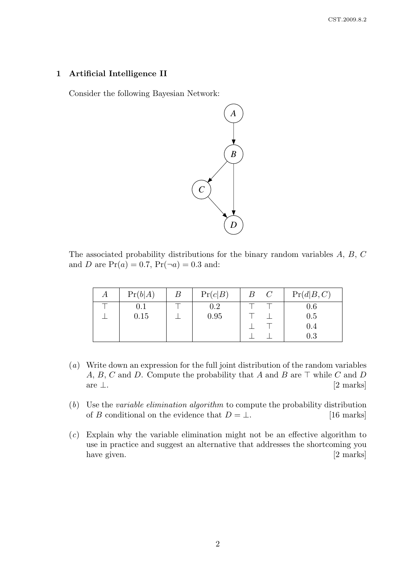## 1 Artificial Intelligence II

Consider the following Bayesian Network:



The associated probability distributions for the binary random variables A, B, C and *D* are  $Pr(a) = 0.7$ ,  $Pr(\neg a) = 0.3$  and:

| А | Pr(b A) | $\boldsymbol{B}$ | Pr(c B) | $\boldsymbol{B}$ | $\mathcal{C}$ | Pr(d B,C) |
|---|---------|------------------|---------|------------------|---------------|-----------|
|   | 0.1     |                  | 0.2     |                  |               | 0.6       |
|   | 0.15    |                  | 0.95    |                  |               | 0.5       |
|   |         |                  |         |                  |               | 0.4       |
|   |         |                  |         |                  |               | $0.3\,$   |

- (a) Write down an expression for the full joint distribution of the random variables A, B, C and D. Compute the probability that A and B are  $\top$  while C and D are  $\perp$ . [2 marks]
- (b) Use the variable elimination algorithm to compute the probability distribution of B conditional on the evidence that  $D = \bot$ . [16 marks]
- (c) Explain why the variable elimination might not be an effective algorithm to use in practice and suggest an alternative that addresses the shortcoming you have given. [2 marks]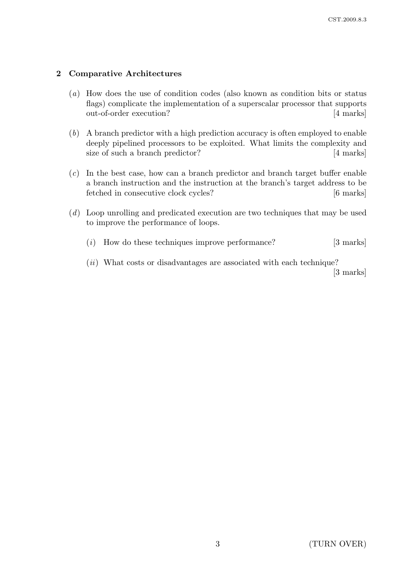## 2 Comparative Architectures

- (a) How does the use of condition codes (also known as condition bits or status flags) complicate the implementation of a superscalar processor that supports out-of-order execution? [4 marks]
- (b) A branch predictor with a high prediction accuracy is often employed to enable deeply pipelined processors to be exploited. What limits the complexity and size of such a branch predictor? [4 marks]
- (c) In the best case, how can a branch predictor and branch target buffer enable a branch instruction and the instruction at the branch's target address to be fetched in consecutive clock cycles? [6 marks]
- (d) Loop unrolling and predicated execution are two techniques that may be used to improve the performance of loops.
	- $(i)$  How do these techniques improve performance? [3 marks]
	- $(ii)$  What costs or disadvantages are associated with each technique? [3 marks]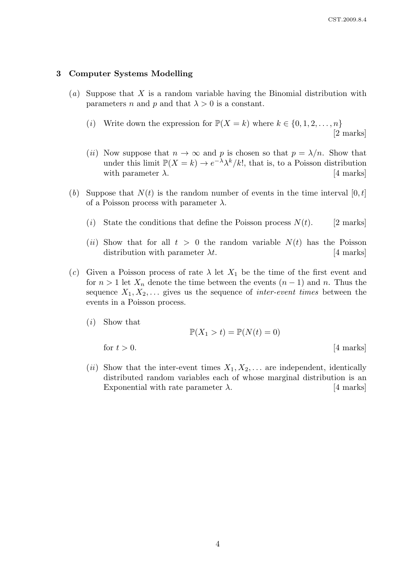### 3 Computer Systems Modelling

- (a) Suppose that X is a random variable having the Binomial distribution with parameters n and p and that  $\lambda > 0$  is a constant.
	- (i) Write down the expression for  $\mathbb{P}(X = k)$  where  $k \in \{0, 1, 2, ..., n\}$ [2 marks]
	- (ii) Now suppose that  $n \to \infty$  and p is chosen so that  $p = \lambda/n$ . Show that under this limit  $\mathbb{P}(X = k) \to e^{-\lambda} \lambda^k / k!$ , that is, to a Poisson distribution with parameter  $\lambda$ . [4 marks]
- (b) Suppose that  $N(t)$  is the random number of events in the time interval  $[0, t]$ of a Poisson process with parameter  $\lambda$ .
	- (i) State the conditions that define the Poisson process  $N(t)$ . [2 marks]
	- (ii) Show that for all  $t > 0$  the random variable  $N(t)$  has the Poisson distribution with parameter  $\lambda t$ . [4 marks]
- (c) Given a Poisson process of rate  $\lambda$  let  $X_1$  be the time of the first event and for  $n > 1$  let  $X_n$  denote the time between the events  $(n-1)$  and n. Thus the sequence  $X_1, X_2, \ldots$  gives us the sequence of *inter-event times* between the events in a Poisson process.
	- (i) Show that

$$
\mathbb{P}(X_1 > t) = \mathbb{P}(N(t) = 0)
$$

for  $t > 0$ . [4 marks]

(*ii*) Show that the inter-event times  $X_1, X_2, \ldots$  are independent, identically distributed random variables each of whose marginal distribution is an Exponential with rate parameter  $\lambda$ . [4 marks]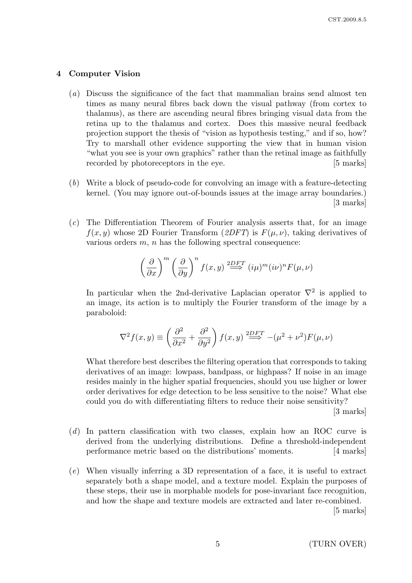### 4 Computer Vision

- (a) Discuss the significance of the fact that mammalian brains send almost ten times as many neural fibres back down the visual pathway (from cortex to thalamus), as there are ascending neural fibres bringing visual data from the retina up to the thalamus and cortex. Does this massive neural feedback projection support the thesis of "vision as hypothesis testing," and if so, how? Try to marshall other evidence supporting the view that in human vision "what you see is your own graphics" rather than the retinal image as faithfully recorded by photoreceptors in the eye. [5 marks]
- (b) Write a block of pseudo-code for convolving an image with a feature-detecting kernel. (You may ignore out-of-bounds issues at the image array boundaries.) [3 marks]
- (c) The Differentiation Theorem of Fourier analysis asserts that, for an image  $f(x, y)$  whose 2D Fourier Transform (2DFT) is  $F(u, y)$ , taking derivatives of various orders  $m$ ,  $n$  has the following spectral consequence:

$$
\left(\frac{\partial}{\partial x}\right)^m \left(\frac{\partial}{\partial y}\right)^n f(x,y) \stackrel{2DF T}{\Longrightarrow} (i\mu)^m (i\nu)^n F(\mu,\nu)
$$

In particular when the 2nd-derivative Laplacian operator  $\nabla^2$  is applied to an image, its action is to multiply the Fourier transform of the image by a paraboloid:

$$
\nabla^2 f(x, y) \equiv \left(\frac{\partial^2}{\partial x^2} + \frac{\partial^2}{\partial y^2}\right) f(x, y) \stackrel{2DF}{\Longrightarrow} -(\mu^2 + \nu^2) F(\mu, \nu)
$$

What therefore best describes the filtering operation that corresponds to taking derivatives of an image: lowpass, bandpass, or highpass? If noise in an image resides mainly in the higher spatial frequencies, should you use higher or lower order derivatives for edge detection to be less sensitive to the noise? What else could you do with differentiating filters to reduce their noise sensitivity?

[3 marks]

- (d) In pattern classification with two classes, explain how an ROC curve is derived from the underlying distributions. Define a threshold-independent performance metric based on the distributions' moments. [4 marks]
- (e) When visually inferring a 3D representation of a face, it is useful to extract separately both a shape model, and a texture model. Explain the purposes of these steps, their use in morphable models for pose-invariant face recognition, and how the shape and texture models are extracted and later re-combined.

[5 marks]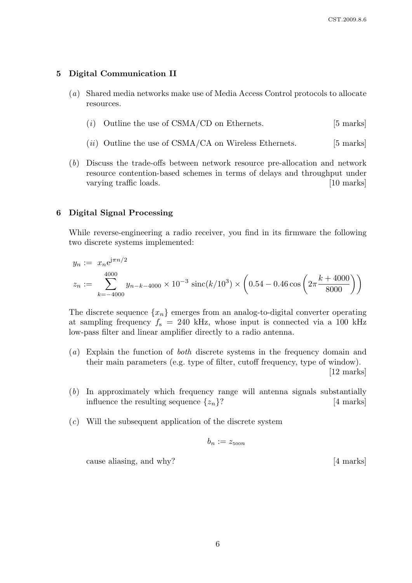## 5 Digital Communication II

- (a) Shared media networks make use of Media Access Control protocols to allocate resources.
	- (i) Outline the use of  $CSMA/CD$  on Ethernets. [5 marks]
	- $(ii)$  Outline the use of CSMA/CA on Wireless Ethernets. [5 marks]
- (b) Discuss the trade-offs between network resource pre-allocation and network resource contention-based schemes in terms of delays and throughput under varying traffic loads. [10 marks] [10 marks]

#### 6 Digital Signal Processing

While reverse-engineering a radio receiver, you find in its firmware the following two discrete systems implemented:

$$
y_n := x_n e^{j\pi n/2}
$$
  

$$
z_n := \sum_{k=-4000}^{4000} y_{n-k-4000} \times 10^{-3} \operatorname{sinc}(k/10^3) \times \left(0.54 - 0.46 \cos\left(2\pi \frac{k+4000}{8000}\right)\right)
$$

The discrete sequence  $\{x_n\}$  emerges from an analog-to-digital converter operating at sampling frequency  $f_s = 240$  kHz, whose input is connected via a 100 kHz low-pass filter and linear amplifier directly to a radio antenna.

- (a) Explain the function of both discrete systems in the frequency domain and their main parameters (e.g. type of filter, cutoff frequency, type of window). [12 marks]
- (b) In approximately which frequency range will antenna signals substantially influence the resulting sequence  $\{z_n\}$ ? [4 marks]
- $(c)$  Will the subsequent application of the discrete system

$$
b_n:=z_{\rm 500n}
$$

cause aliasing, and why? [4 marks]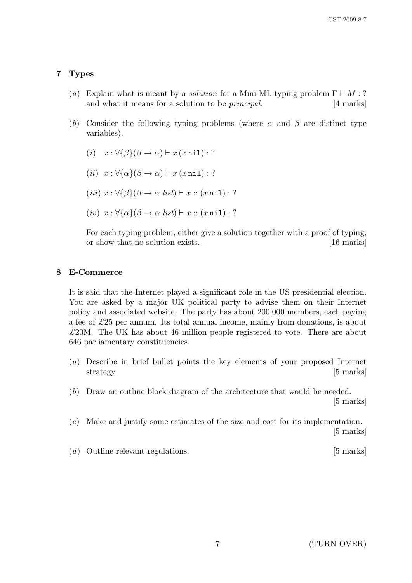## 7 Types

- (a) Explain what is meant by a *solution* for a Mini-ML typing problem  $\Gamma \vdash M : ?$ and what it means for a solution to be *principal*. [4 marks]
- (b) Consider the following typing problems (where  $\alpha$  and  $\beta$  are distinct type variables).
	- (i)  $x : \forall {\beta}(\beta \to \alpha) \vdash x (x \text{ nil}) : ?$
	- (ii)  $x : \forall {\alpha} {\{\alpha\}} (\beta \to \alpha) \vdash x \text{ ( } x \text{ nil} \text{ ) : ?}$
	- (iii)  $x : \forall {\beta} (\beta \to \alpha \text{ list}) \vdash x :: (x \text{ nil}) : ?$
	- (iv)  $x : \forall {\alpha} (\beta \to \alpha \text{ list}) \vdash x :: (x \text{ nil}) : ?$

For each typing problem, either give a solution together with a proof of typing. or show that no solution exists. [16 marks]

## 8 E-Commerce

It is said that the Internet played a significant role in the US presidential election. You are asked by a major UK political party to advise them on their Internet policy and associated website. The party has about 200,000 members, each paying a fee of  $\pounds 25$  per annum. Its total annual income, mainly from donations, is about  $\pounds 20M$ . The UK has about 46 million people registered to vote. There are about 646 parliamentary constituencies.

- (a) Describe in brief bullet points the key elements of your proposed Internet strategy. [5 marks]
- (b) Draw an outline block diagram of the architecture that would be needed.

[5 marks]

- (c) Make and justify some estimates of the size and cost for its implementation. [5 marks]
- (d) Outline relevant regulations. [5 marks]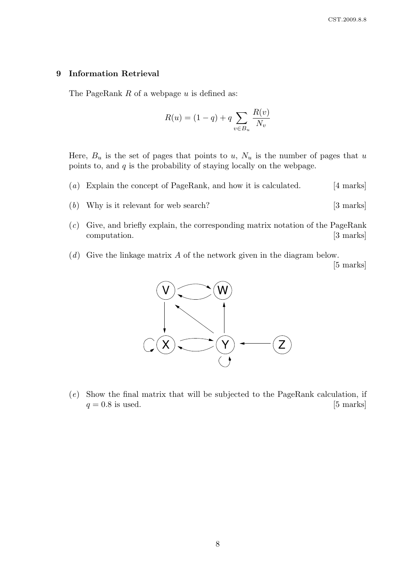## 9 Information Retrieval

The PageRank  $R$  of a webpage  $u$  is defined as:

$$
R(u) = (1 - q) + q \sum_{v \in B_u} \frac{R(v)}{N_v}
$$

Here,  $B_u$  is the set of pages that points to u,  $N_u$  is the number of pages that u points to, and  $q$  is the probability of staying locally on the webpage.

- (a) Explain the concept of PageRank, and how it is calculated. [4 marks]
- (b) Why is it relevant for web search? [3 marks]
- (c) Give, and briefly explain, the corresponding matrix notation of the PageRank computation. [3 marks]
- $(d)$  Give the linkage matrix A of the network given in the diagram below.

[5 marks]



(e) Show the final matrix that will be subjected to the PageRank calculation, if  $q = 0.8$  is used. [5 marks]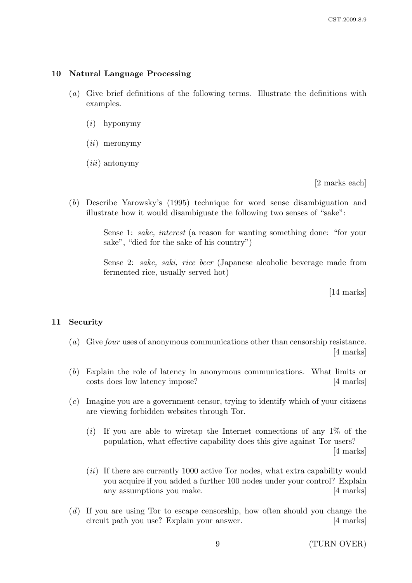#### 10 Natural Language Processing

- (a) Give brief definitions of the following terms. Illustrate the definitions with examples.
	- (i) hyponymy
	- $(ii)$  meronymy
	- $(iii)$  antonymy

[2 marks each]

(b) Describe Yarowsky's (1995) technique for word sense disambiguation and illustrate how it would disambiguate the following two senses of "sake":

> Sense 1: sake, interest (a reason for wanting something done: "for your sake", "died for the sake of his country")

> Sense 2: sake, saki, rice beer (Japanese alcoholic beverage made from fermented rice, usually served hot)

> > [14 marks]

#### 11 Security

- (a) Give four uses of anonymous communications other than censorship resistance. [4 marks]
- (b) Explain the role of latency in anonymous communications. What limits or costs does low latency impose? [4 marks]
- (c) Imagine you are a government censor, trying to identify which of your citizens are viewing forbidden websites through Tor.
	- $(i)$  If you are able to wiretap the Internet connections of any 1% of the population, what effective capability does this give against Tor users? [4 marks]
	- (ii) If there are currently 1000 active Tor nodes, what extra capability would you acquire if you added a further 100 nodes under your control? Explain any assumptions you make. [4 marks]
- (d) If you are using Tor to escape censorship, how often should you change the circuit path you use? Explain your answer. [4 marks]

9 (TURN OVER)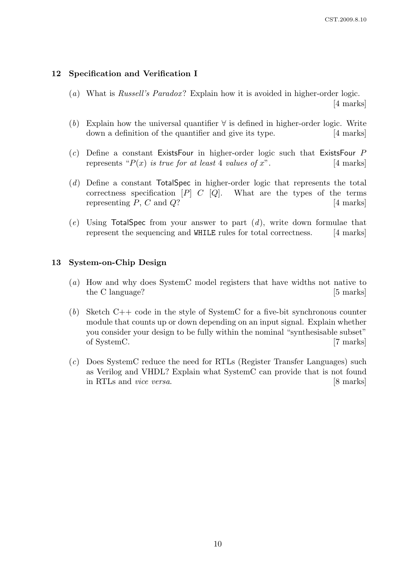### 12 Specification and Verification I

- (a) What is Russell's Paradox? Explain how it is avoided in higher-order logic. [4 marks]
- (b) Explain how the universal quantifier  $\forall$  is defined in higher-order logic. Write down a definition of the quantifier and give its type. [4 marks]
- $(c)$  Define a constant ExistsFour in higher-order logic such that ExistsFour P represents " $P(x)$  is true for at least 4 values of x". [4 marks]
- (d) Define a constant TotalSpec in higher-order logic that represents the total correctness specification  $[P]$  C  $[Q]$ . What are the types of the terms representing  $P, C$  and  $Q$ ? [4 marks]
- $(e)$  Using TotalSpec from your answer to part  $(d)$ , write down formulae that represent the sequencing and WHILE rules for total correctness. [4 marks]

## 13 System-on-Chip Design

- (a) How and why does SystemC model registers that have widths not native to the C language? [5 marks]
- $(b)$  Sketch C++ code in the style of SystemC for a five-bit synchronous counter module that counts up or down depending on an input signal. Explain whether you consider your design to be fully within the nominal "synthesisable subset" of SystemC. [7 marks]
- (c) Does SystemC reduce the need for RTLs (Register Transfer Languages) such as Verilog and VHDL? Explain what SystemC can provide that is not found in RTLs and vice versa. [8 marks]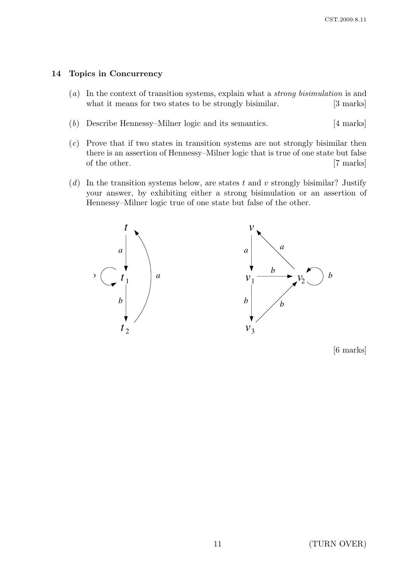## 14 Topics in Concurrency

- (a) In the context of transition systems, explain what a strong bisimulation is and what it means for two states to be strongly bisimilar. [3 marks]
- (b) Describe Hennessy–Milner logic and its semantics. [4 marks]
- (c) Prove that if two states in transition systems are not strongly bisimilar then there is an assertion of Hennessy–Milner logic that is true of one state but false of the other. [7 marks]
- $(d)$  In the transition systems below, are states t and v strongly bisimilar? Justify your answer, by exhibiting either a strong bisimulation or an assertion of Hennessy–Milner logic true of one state but false of the other.



[6 marks]